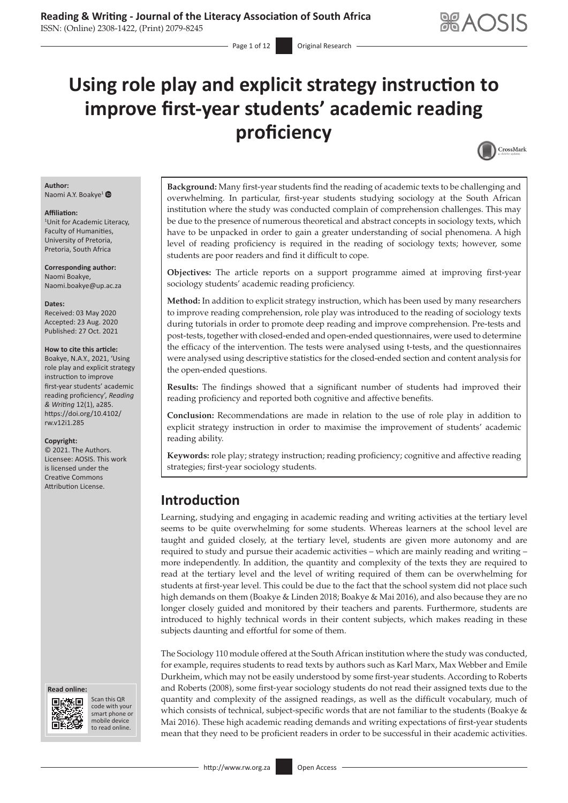# **Using role play and explicit strategy instruction to improve first-year students' academic reading proficiency**

- Page 1 of 12 Original Research



#### **Author:** Naomi A.Y. Boakye<sup>[1](http://orcid.org/0000-0002-7578-8424)</sup>

#### **Affiliation:**

1 Unit for Academic Literacy, Faculty of Humanities, University of Pretoria, Pretoria, South Africa

**Corresponding author:** Naomi Boakye, [Naomi.boakye@up.ac.za](mailto:Naomi.boakye@up.ac.za)

#### **Dates:**

Received: 03 May 2020 Accepted: 23 Aug. 2020 Published: 27 Oct. 2021

#### **How to cite this article:**

Boakye, N.A.Y., 2021, 'Using role play and explicit strategy instruction to improve first-year students' academic reading proficiency', *Reading & Writing* 12(1), a285. [https://doi.org/10.4102/](https://doi.org/10.4102/rw.v12i1.285) [rw.v12i1.285](https://doi.org/10.4102/rw.v12i1.285)

#### **Copyright:**

© 2021. The Authors. Licensee: AOSIS. This work is licensed under the Creative Commons Attribution License.





Scan this QR code with your Scan this QR<br>code with your<br>smart phone or<br>mobile device mobile device to read online. to read online.

**Background:** Many first-year students find the reading of academic texts to be challenging and overwhelming. In particular, first-year students studying sociology at the South African institution where the study was conducted complain of comprehension challenges. This may be due to the presence of numerous theoretical and abstract concepts in sociology texts, which have to be unpacked in order to gain a greater understanding of social phenomena. A high level of reading proficiency is required in the reading of sociology texts; however, some students are poor readers and find it difficult to cope.

**Objectives:** The article reports on a support programme aimed at improving first-year sociology students' academic reading proficiency.

**Method:** In addition to explicit strategy instruction, which has been used by many researchers to improve reading comprehension, role play was introduced to the reading of sociology texts during tutorials in order to promote deep reading and improve comprehension. Pre-tests and post-tests, together with closed-ended and open-ended questionnaires, were used to determine the efficacy of the intervention. The tests were analysed using t-tests, and the questionnaires were analysed using descriptive statistics for the closed-ended section and content analysis for the open-ended questions.

**Results:** The findings showed that a significant number of students had improved their reading proficiency and reported both cognitive and affective benefits.

**Conclusion:** Recommendations are made in relation to the use of role play in addition to explicit strategy instruction in order to maximise the improvement of students' academic reading ability.

**Keywords:** role play; strategy instruction; reading proficiency; cognitive and affective reading strategies; first-year sociology students.

## **Introduction**

Learning, studying and engaging in academic reading and writing activities at the tertiary level seems to be quite overwhelming for some students. Whereas learners at the school level are taught and guided closely, at the tertiary level, students are given more autonomy and are required to study and pursue their academic activities – which are mainly reading and writing – more independently. In addition, the quantity and complexity of the texts they are required to read at the tertiary level and the level of writing required of them can be overwhelming for students at first-year level. This could be due to the fact that the school system did not place such high demands on them (Boakye & Linden 2018; Boakye & Mai 2016), and also because they are no longer closely guided and monitored by their teachers and parents. Furthermore, students are introduced to highly technical words in their content subjects, which makes reading in these subjects daunting and effortful for some of them.

The Sociology 110 module offered at the South African institution where the study was conducted, for example, requires students to read texts by authors such as Karl Marx, Max Webber and Emile Durkheim, which may not be easily understood by some first-year students. According to Roberts and Roberts (2008), some first-year sociology students do not read their assigned texts due to the quantity and complexity of the assigned readings, as well as the difficult vocabulary, much of which consists of technical, subject-specific words that are not familiar to the students (Boakye & Mai 2016). These high academic reading demands and writing expectations of first-year students mean that they need to be proficient readers in order to be successful in their academic activities.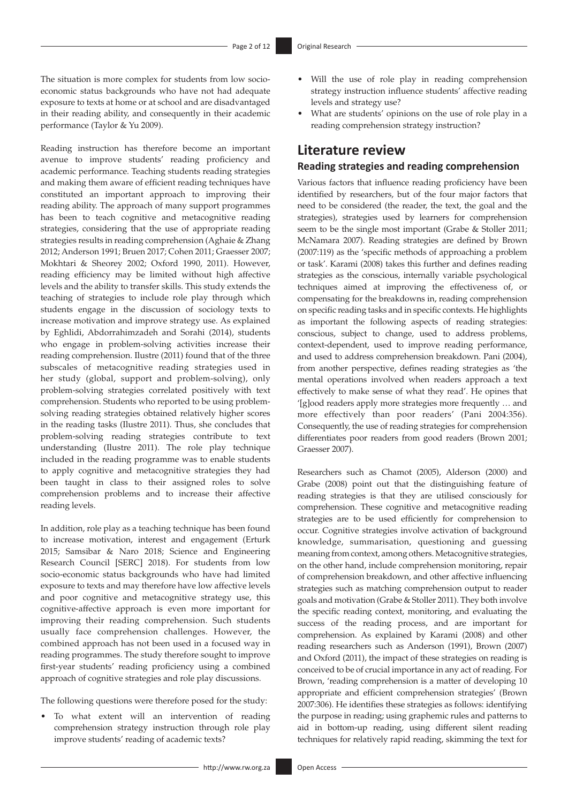The situation is more complex for students from low socioeconomic status backgrounds who have not had adequate exposure to texts at home or at school and are disadvantaged in their reading ability, and consequently in their academic performance (Taylor & Yu 2009).

Reading instruction has therefore become an important avenue to improve students' reading proficiency and academic performance. Teaching students reading strategies and making them aware of efficient reading techniques have constituted an important approach to improving their reading ability. The approach of many support programmes has been to teach cognitive and metacognitive reading strategies, considering that the use of appropriate reading strategies results in reading comprehension (Aghaie & Zhang 2012; Anderson 1991; Bruen 2017; Cohen 2011; Graesser 2007; Mokhtari & Sheorey 2002; Oxford 1990, 2011). However, reading efficiency may be limited without high affective levels and the ability to transfer skills. This study extends the teaching of strategies to include role play through which students engage in the discussion of sociology texts to increase motivation and improve strategy use. As explained by Eghlidi, Abdorrahimzadeh and Sorahi (2014), students who engage in problem-solving activities increase their reading comprehension. Ilustre (2011) found that of the three subscales of metacognitive reading strategies used in her study (global, support and problem-solving), only problem-solving strategies correlated positively with text comprehension. Students who reported to be using problemsolving reading strategies obtained relatively higher scores in the reading tasks (Ilustre 2011). Thus, she concludes that problem-solving reading strategies contribute to text understanding (Ilustre 2011). The role play technique included in the reading programme was to enable students to apply cognitive and metacognitive strategies they had been taught in class to their assigned roles to solve comprehension problems and to increase their affective reading levels.

In addition, role play as a teaching technique has been found to increase motivation, interest and engagement (Erturk 2015; Samsibar & Naro 2018; Science and Engineering Research Council [SERC] 2018). For students from low socio-economic status backgrounds who have had limited exposure to texts and may therefore have low affective levels and poor cognitive and metacognitive strategy use, this cognitive-affective approach is even more important for improving their reading comprehension. Such students usually face comprehension challenges. However, the combined approach has not been used in a focused way in reading programmes. The study therefore sought to improve first-year students' reading proficiency using a combined approach of cognitive strategies and role play discussions.

The following questions were therefore posed for the study:

To what extent will an intervention of reading comprehension strategy instruction through role play improve students' reading of academic texts?

- Will the use of role play in reading comprehension strategy instruction influence students' affective reading levels and strategy use?
- What are students' opinions on the use of role play in a reading comprehension strategy instruction?

## **Literature review**

### **Reading strategies and reading comprehension**

Various factors that influence reading proficiency have been identified by researchers, but of the four major factors that need to be considered (the reader, the text, the goal and the strategies), strategies used by learners for comprehension seem to be the single most important (Grabe & Stoller 2011; McNamara 2007). Reading strategies are defined by Brown (2007:119) as the 'specific methods of approaching a problem or task'. Karami (2008) takes this further and defines reading strategies as the conscious, internally variable psychological techniques aimed at improving the effectiveness of, or compensating for the breakdowns in, reading comprehension on specific reading tasks and in specific contexts. He highlights as important the following aspects of reading strategies: conscious, subject to change, used to address problems, context-dependent, used to improve reading performance, and used to address comprehension breakdown. Pani (2004), from another perspective, defines reading strategies as 'the mental operations involved when readers approach a text effectively to make sense of what they read'. He opines that '[g]ood readers apply more strategies more frequently … and more effectively than poor readers' (Pani 2004:356). Consequently, the use of reading strategies for comprehension differentiates poor readers from good readers (Brown 2001; Graesser 2007).

Researchers such as Chamot (2005), Alderson (2000) and Grabe (2008) point out that the distinguishing feature of reading strategies is that they are utilised consciously for comprehension. These cognitive and metacognitive reading strategies are to be used efficiently for comprehension to occur. Cognitive strategies involve activation of background knowledge, summarisation, questioning and guessing meaning from context, among others. Metacognitive strategies, on the other hand, include comprehension monitoring, repair of comprehension breakdown, and other affective influencing strategies such as matching comprehension output to reader goals and motivation (Grabe & Stoller 2011). They both involve the specific reading context, monitoring, and evaluating the success of the reading process, and are important for comprehension. As explained by Karami (2008) and other reading researchers such as Anderson (1991), Brown (2007) and Oxford (2011), the impact of these strategies on reading is conceived to be of crucial importance in any act of reading. For Brown, 'reading comprehension is a matter of developing 10 appropriate and efficient comprehension strategies' (Brown 2007:306). He identifies these strategies as follows: identifying the purpose in reading; using graphemic rules and patterns to aid in bottom-up reading, using different silent reading techniques for relatively rapid reading, skimming the text for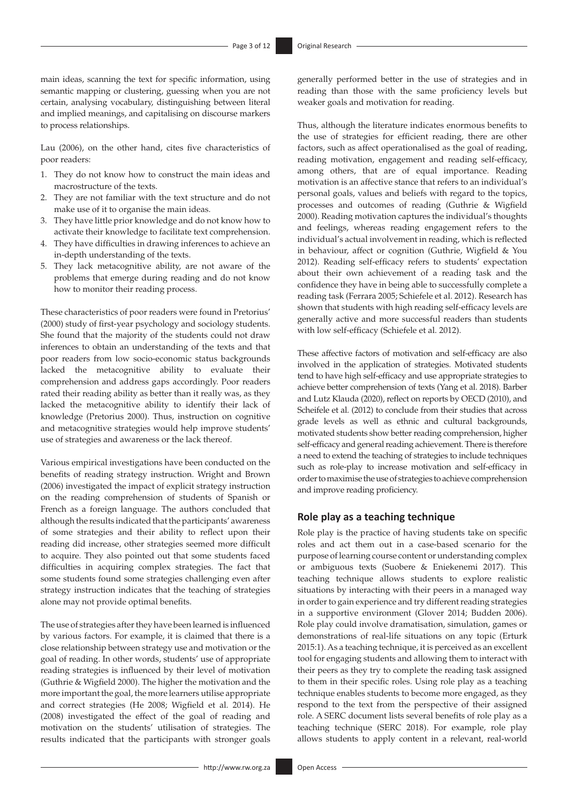main ideas, scanning the text for specific information, using semantic mapping or clustering, guessing when you are not certain, analysing vocabulary, distinguishing between literal and implied meanings, and capitalising on discourse markers to process relationships.

Lau (2006), on the other hand, cites five characteristics of poor readers:

- 1. They do not know how to construct the main ideas and macrostructure of the texts.
- 2. They are not familiar with the text structure and do not make use of it to organise the main ideas.
- 3. They have little prior knowledge and do not know how to activate their knowledge to facilitate text comprehension.
- 4. They have difficulties in drawing inferences to achieve an in-depth understanding of the texts.
- 5. They lack metacognitive ability, are not aware of the problems that emerge during reading and do not know how to monitor their reading process.

These characteristics of poor readers were found in Pretorius' (2000) study of first-year psychology and sociology students. She found that the majority of the students could not draw inferences to obtain an understanding of the texts and that poor readers from low socio-economic status backgrounds lacked the metacognitive ability to evaluate their comprehension and address gaps accordingly. Poor readers rated their reading ability as better than it really was, as they lacked the metacognitive ability to identify their lack of knowledge (Pretorius 2000). Thus, instruction on cognitive and metacognitive strategies would help improve students' use of strategies and awareness or the lack thereof.

Various empirical investigations have been conducted on the benefits of reading strategy instruction. Wright and Brown (2006) investigated the impact of explicit strategy instruction on the reading comprehension of students of Spanish or French as a foreign language. The authors concluded that although the results indicated that the participants' awareness of some strategies and their ability to reflect upon their reading did increase, other strategies seemed more difficult to acquire. They also pointed out that some students faced difficulties in acquiring complex strategies. The fact that some students found some strategies challenging even after strategy instruction indicates that the teaching of strategies alone may not provide optimal benefits.

The use of strategies after they have been learned is influenced by various factors. For example, it is claimed that there is a close relationship between strategy use and motivation or the goal of reading. In other words, students' use of appropriate reading strategies is influenced by their level of motivation (Guthrie & Wigfield 2000). The higher the motivation and the more important the goal, the more learners utilise appropriate and correct strategies (He 2008; Wigfield et al. 2014). He (2008) investigated the effect of the goal of reading and motivation on the students' utilisation of strategies. The results indicated that the participants with stronger goals

generally performed better in the use of strategies and in reading than those with the same proficiency levels but weaker goals and motivation for reading.

Thus, although the literature indicates enormous benefits to the use of strategies for efficient reading, there are other factors, such as affect operationalised as the goal of reading, reading motivation, engagement and reading self-efficacy, among others, that are of equal importance. Reading motivation is an affective stance that refers to an individual's personal goals, values and beliefs with regard to the topics, processes and outcomes of reading (Guthrie & Wigfield 2000). Reading motivation captures the individual's thoughts and feelings, whereas reading engagement refers to the individual's actual involvement in reading, which is reflected in behaviour, affect or cognition (Guthrie, Wigfield & You 2012). Reading self-efficacy refers to students' expectation about their own achievement of a reading task and the confidence they have in being able to successfully complete a reading task (Ferrara 2005; Schiefele et al. 2012). Research has shown that students with high reading self-efficacy levels are generally active and more successful readers than students with low self-efficacy (Schiefele et al. 2012).

These affective factors of motivation and self-efficacy are also involved in the application of strategies. Motivated students tend to have high self-efficacy and use appropriate strategies to achieve better comprehension of texts (Yang et al. 2018). Barber and Lutz Klauda (2020), reflect on reports by OECD (2010), and Scheifele et al. (2012) to conclude from their studies that across grade levels as well as ethnic and cultural backgrounds, motivated students show better reading comprehension, higher self-efficacy and general reading achievement. There is therefore a need to extend the teaching of strategies to include techniques such as role-play to increase motivation and self-efficacy in order to maximise the use of strategies to achieve comprehension and improve reading proficiency.

## **Role play as a teaching technique**

Role play is the practice of having students take on specific roles and act them out in a case-based scenario for the purpose of learning course content or understanding complex or ambiguous texts (Suobere & Eniekenemi 2017). This teaching technique allows students to explore realistic situations by interacting with their peers in a managed way in order to gain experience and try different reading strategies in a supportive environment (Glover 2014; Budden 2006). Role play could involve dramatisation, simulation, games or demonstrations of real-life situations on any topic (Erturk 2015:1). As a teaching technique, it is perceived as an excellent tool for engaging students and allowing them to interact with their peers as they try to complete the reading task assigned to them in their specific roles. Using role play as a teaching technique enables students to become more engaged, as they respond to the text from the perspective of their assigned role. A SERC document lists several benefits of role play as a teaching technique (SERC 2018). For example, role play allows students to apply content in a relevant, real-world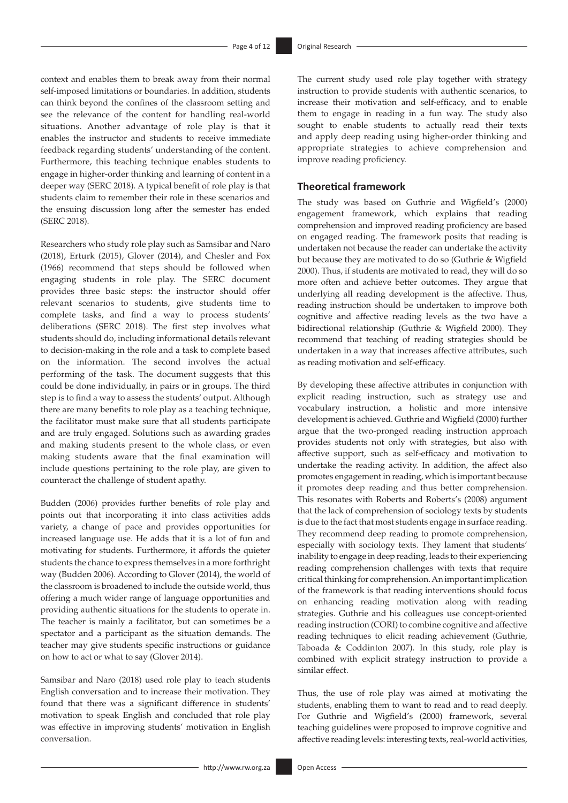context and enables them to break away from their normal self-imposed limitations or boundaries. In addition, students can think beyond the confines of the classroom setting and see the relevance of the content for handling real-world situations. Another advantage of role play is that it enables the instructor and students to receive immediate feedback regarding students' understanding of the content. Furthermore, this teaching technique enables students to engage in higher-order thinking and learning of content in a deeper way (SERC 2018). A typical benefit of role play is that students claim to remember their role in these scenarios and the ensuing discussion long after the semester has ended (SERC 2018).

Researchers who study role play such as Samsibar and Naro (2018), Erturk (2015), Glover (2014), and Chesler and Fox (1966) recommend that steps should be followed when engaging students in role play. The SERC document provides three basic steps: the instructor should offer relevant scenarios to students, give students time to complete tasks, and find a way to process students' deliberations (SERC 2018). The first step involves what students should do, including informational details relevant to decision-making in the role and a task to complete based on the information. The second involves the actual performing of the task. The document suggests that this could be done individually, in pairs or in groups. The third step is to find a way to assess the students' output. Although there are many benefits to role play as a teaching technique, the facilitator must make sure that all students participate and are truly engaged. Solutions such as awarding grades and making students present to the whole class, or even making students aware that the final examination will include questions pertaining to the role play, are given to counteract the challenge of student apathy.

Budden (2006) provides further benefits of role play and points out that incorporating it into class activities adds variety, a change of pace and provides opportunities for increased language use. He adds that it is a lot of fun and motivating for students. Furthermore, it affords the quieter students the chance to express themselves in a more forthright way (Budden 2006). According to Glover (2014), the world of the classroom is broadened to include the outside world, thus offering a much wider range of language opportunities and providing authentic situations for the students to operate in. The teacher is mainly a facilitator, but can sometimes be a spectator and a participant as the situation demands. The teacher may give students specific instructions or guidance on how to act or what to say (Glover 2014).

Samsibar and Naro (2018) used role play to teach students English conversation and to increase their motivation. They found that there was a significant difference in students' motivation to speak English and concluded that role play was effective in improving students' motivation in English conversation.

The current study used role play together with strategy instruction to provide students with authentic scenarios, to increase their motivation and self-efficacy, and to enable them to engage in reading in a fun way. The study also sought to enable students to actually read their texts and apply deep reading using higher-order thinking and appropriate strategies to achieve comprehension and improve reading proficiency.

## **Theoretical framework**

The study was based on Guthrie and Wigfield's (2000) engagement framework, which explains that reading comprehension and improved reading proficiency are based on engaged reading. The framework posits that reading is undertaken not because the reader can undertake the activity but because they are motivated to do so (Guthrie & Wigfield 2000). Thus, if students are motivated to read, they will do so more often and achieve better outcomes. They argue that underlying all reading development is the affective. Thus, reading instruction should be undertaken to improve both cognitive and affective reading levels as the two have a bidirectional relationship (Guthrie & Wigfield 2000). They recommend that teaching of reading strategies should be undertaken in a way that increases affective attributes, such as reading motivation and self-efficacy.

By developing these affective attributes in conjunction with explicit reading instruction, such as strategy use and vocabulary instruction, a holistic and more intensive development is achieved. Guthrie and Wigfield (2000) further argue that the two-pronged reading instruction approach provides students not only with strategies, but also with affective support, such as self-efficacy and motivation to undertake the reading activity. In addition, the affect also promotes engagement in reading, which is important because it promotes deep reading and thus better comprehension. This resonates with Roberts and Roberts's (2008) argument that the lack of comprehension of sociology texts by students is due to the fact that most students engage in surface reading. They recommend deep reading to promote comprehension, especially with sociology texts. They lament that students' inability to engage in deep reading, leads to their experiencing reading comprehension challenges with texts that require critical thinking for comprehension. An important implication of the framework is that reading interventions should focus on enhancing reading motivation along with reading strategies. Guthrie and his colleagues use concept-oriented reading instruction (CORI) to combine cognitive and affective reading techniques to elicit reading achievement (Guthrie, Taboada & Coddinton 2007). In this study, role play is combined with explicit strategy instruction to provide a similar effect.

Thus, the use of role play was aimed at motivating the students, enabling them to want to read and to read deeply. For Guthrie and Wigfield's (2000) framework, several teaching guidelines were proposed to improve cognitive and affective reading levels: interesting texts, real-world activities,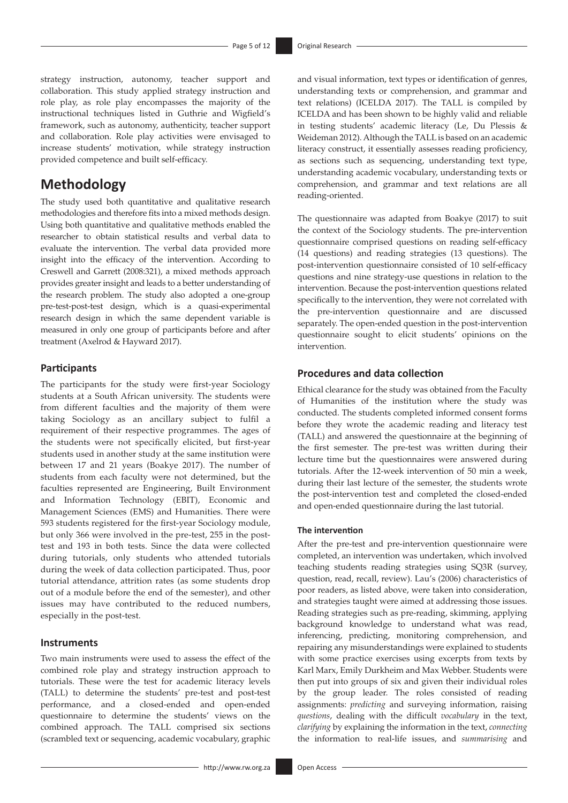strategy instruction, autonomy, teacher support and collaboration. This study applied strategy instruction and role play, as role play encompasses the majority of the instructional techniques listed in Guthrie and Wigfield's framework, such as autonomy, authenticity, teacher support and collaboration. Role play activities were envisaged to increase students' motivation, while strategy instruction provided competence and built self-efficacy.

## **Methodology**

The study used both quantitative and qualitative research methodologies and therefore fits into a mixed methods design. Using both quantitative and qualitative methods enabled the researcher to obtain statistical results and verbal data to evaluate the intervention. The verbal data provided more insight into the efficacy of the intervention. According to Creswell and Garrett (2008:321), a mixed methods approach provides greater insight and leads to a better understanding of the research problem. The study also adopted a one-group pre-test-post-test design, which is a quasi-experimental research design in which the same dependent variable is measured in only one group of participants before and after treatment (Axelrod & Hayward 2017).

### **Participants**

The participants for the study were first-year Sociology students at a South African university. The students were from different faculties and the majority of them were taking Sociology as an ancillary subject to fulfil a requirement of their respective programmes. The ages of the students were not specifically elicited, but first-year students used in another study at the same institution were between 17 and 21 years (Boakye 2017). The number of students from each faculty were not determined, but the faculties represented are Engineering, Built Environment and Information Technology (EBIT), Economic and Management Sciences (EMS) and Humanities. There were 593 students registered for the first-year Sociology module, but only 366 were involved in the pre-test, 255 in the posttest and 193 in both tests. Since the data were collected during tutorials, only students who attended tutorials during the week of data collection participated. Thus, poor tutorial attendance, attrition rates (as some students drop out of a module before the end of the semester), and other issues may have contributed to the reduced numbers, especially in the post-test.

### **Instruments**

Two main instruments were used to assess the effect of the combined role play and strategy instruction approach to tutorials. These were the test for academic literacy levels (TALL) to determine the students' pre-test and post-test performance, and a closed-ended and open-ended questionnaire to determine the students' views on the combined approach. The TALL comprised six sections (scrambled text or sequencing, academic vocabulary, graphic and visual information, text types or identification of genres, understanding texts or comprehension, and grammar and text relations) (ICELDA 2017). The TALL is compiled by ICELDA and has been shown to be highly valid and reliable in testing students' academic literacy (Le, Du Plessis & Weideman 2012). Although the TALL is based on an academic literacy construct, it essentially assesses reading proficiency, as sections such as sequencing, understanding text type, understanding academic vocabulary, understanding texts or comprehension, and grammar and text relations are all reading-oriented.

The questionnaire was adapted from Boakye (2017) to suit the context of the Sociology students. The pre-intervention questionnaire comprised questions on reading self-efficacy (14 questions) and reading strategies (13 questions). The post-intervention questionnaire consisted of 10 self-efficacy questions and nine strategy-use questions in relation to the intervention. Because the post-intervention questions related specifically to the intervention, they were not correlated with the pre-intervention questionnaire and are discussed separately. The open-ended question in the post-intervention questionnaire sought to elicit students' opinions on the intervention.

## **Procedures and data collection**

Ethical clearance for the study was obtained from the Faculty of Humanities of the institution where the study was conducted. The students completed informed consent forms before they wrote the academic reading and literacy test (TALL) and answered the questionnaire at the beginning of the first semester. The pre-test was written during their lecture time but the questionnaires were answered during tutorials. After the 12-week intervention of 50 min a week, during their last lecture of the semester, the students wrote the post-intervention test and completed the closed-ended and open-ended questionnaire during the last tutorial.

#### **The intervention**

After the pre-test and pre-intervention questionnaire were completed, an intervention was undertaken, which involved teaching students reading strategies using SQ3R (survey, question, read, recall, review). Lau's (2006) characteristics of poor readers, as listed above, were taken into consideration, and strategies taught were aimed at addressing those issues. Reading strategies such as pre-reading, skimming, applying background knowledge to understand what was read, inferencing, predicting, monitoring comprehension, and repairing any misunderstandings were explained to students with some practice exercises using excerpts from texts by Karl Marx, Emily Durkheim and Max Webber. Students were then put into groups of six and given their individual roles by the group leader. The roles consisted of reading assignments: *predicting* and surveying information, raising *questions*, dealing with the difficult *vocabulary* in the text, *clarifying* by explaining the information in the text, *connecting* the information to real-life issues, and *summarising* and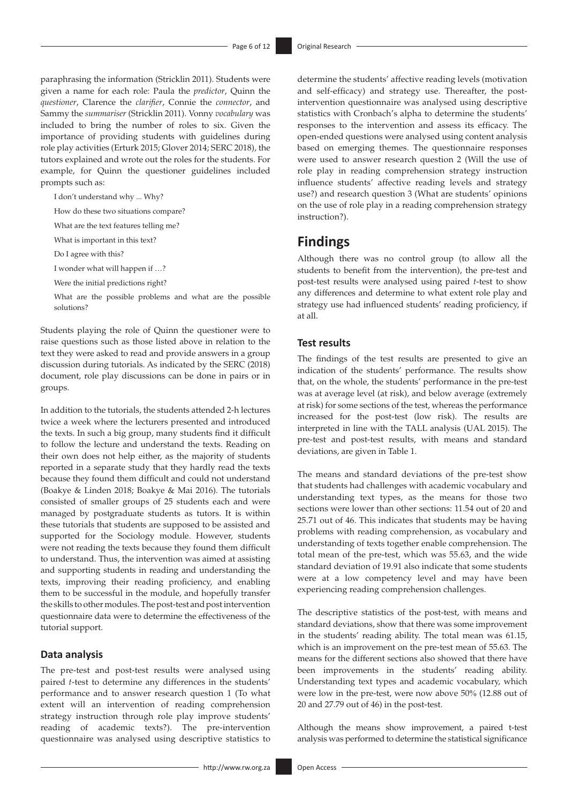paraphrasing the information (Stricklin 2011). Students were given a name for each role: Paula the *predictor*, Quinn the *questioner*, Clarence the *clarifier*, Connie the *connector*, and Sammy the *summariser* (Stricklin 2011). Vonny *vocabulary* was included to bring the number of roles to six. Given the importance of providing students with guidelines during role play activities (Erturk 2015; Glover 2014; SERC 2018), the tutors explained and wrote out the roles for the students. For example, for Quinn the questioner guidelines included prompts such as:

I don't understand why ... Why?

How do these two situations compare?

What are the text features telling me?

What is important in this text?

Do I agree with this?

I wonder what will happen if …?

Were the initial predictions right?

What are the possible problems and what are the possible solutions?

Students playing the role of Quinn the questioner were to raise questions such as those listed above in relation to the text they were asked to read and provide answers in a group discussion during tutorials. As indicated by the SERC (2018) document, role play discussions can be done in pairs or in groups.

In addition to the tutorials, the students attended 2-h lectures twice a week where the lecturers presented and introduced the texts. In such a big group, many students find it difficult to follow the lecture and understand the texts. Reading on their own does not help either, as the majority of students reported in a separate study that they hardly read the texts because they found them difficult and could not understand (Boakye & Linden 2018; Boakye & Mai 2016). The tutorials consisted of smaller groups of 25 students each and were managed by postgraduate students as tutors. It is within these tutorials that students are supposed to be assisted and supported for the Sociology module. However, students were not reading the texts because they found them difficult to understand. Thus, the intervention was aimed at assisting and supporting students in reading and understanding the texts, improving their reading proficiency, and enabling them to be successful in the module, and hopefully transfer the skills to other modules. The post-test and post intervention questionnaire data were to determine the effectiveness of the tutorial support.

#### **Data analysis**

The pre-test and post-test results were analysed using paired *t*-test to determine any differences in the students' performance and to answer research question 1 (To what extent will an intervention of reading comprehension strategy instruction through role play improve students' reading of academic texts?). The pre-intervention questionnaire was analysed using descriptive statistics to

determine the students' affective reading levels (motivation and self-efficacy) and strategy use. Thereafter, the postintervention questionnaire was analysed using descriptive statistics with Cronbach's alpha to determine the students' responses to the intervention and assess its efficacy. The open-ended questions were analysed using content analysis based on emerging themes. The questionnaire responses were used to answer research question 2 (Will the use of role play in reading comprehension strategy instruction influence students' affective reading levels and strategy use?) and research question 3 (What are students' opinions on the use of role play in a reading comprehension strategy instruction?).

## **Findings**

Although there was no control group (to allow all the students to benefit from the intervention), the pre-test and post-test results were analysed using paired *t*-test to show any differences and determine to what extent role play and strategy use had influenced students' reading proficiency, if at all.

### **Test results**

The findings of the test results are presented to give an indication of the students' performance. The results show that, on the whole, the students' performance in the pre-test was at average level (at risk), and below average (extremely at risk) for some sections of the test, whereas the performance increased for the post-test (low risk). The results are interpreted in line with the TALL analysis (UAL 2015). The pre-test and post-test results, with means and standard deviations, are given in Table 1.

The means and standard deviations of the pre-test show that students had challenges with academic vocabulary and understanding text types, as the means for those two sections were lower than other sections: 11.54 out of 20 and 25.71 out of 46. This indicates that students may be having problems with reading comprehension, as vocabulary and understanding of texts together enable comprehension. The total mean of the pre-test, which was 55.63, and the wide standard deviation of 19.91 also indicate that some students were at a low competency level and may have been experiencing reading comprehension challenges.

The descriptive statistics of the post-test, with means and standard deviations, show that there was some improvement in the students' reading ability. The total mean was 61.15, which is an improvement on the pre-test mean of 55.63. The means for the different sections also showed that there have been improvements in the students' reading ability. Understanding text types and academic vocabulary, which were low in the pre-test, were now above 50% (12.88 out of 20 and 27.79 out of 46) in the post-test.

Although the means show improvement, a paired t-test analysis was performed to determine the statistical significance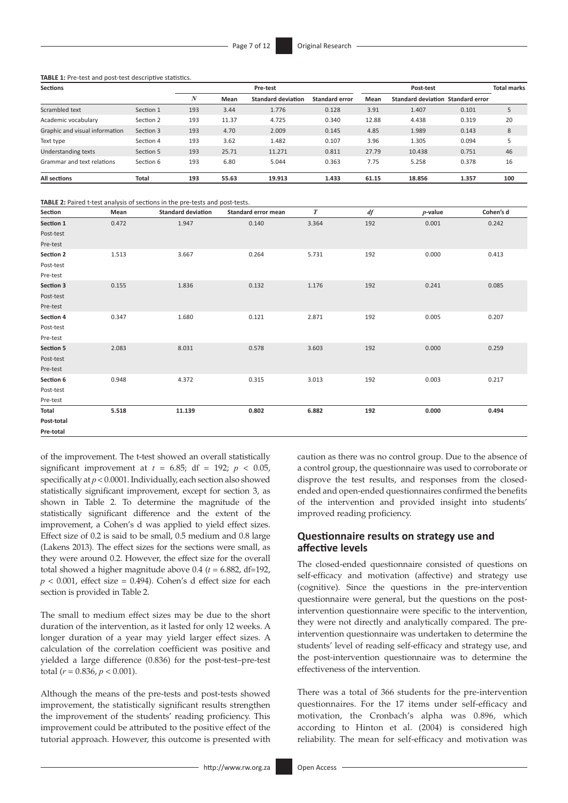**TABLE 1:** Pre-test and post-test descriptive statistics.

| <b>Sections</b>                |              | Pre-test |       |                           |                       |       | <b>Total marks</b>        |                |     |
|--------------------------------|--------------|----------|-------|---------------------------|-----------------------|-------|---------------------------|----------------|-----|
|                                |              | N        | Mean  | <b>Standard deviation</b> | <b>Standard error</b> | Mean  | <b>Standard deviation</b> | Standard error |     |
| Scrambled text                 | Section 1    | 193      | 3.44  | 1.776                     | 0.128                 | 3.91  | 1.407                     | 0.101          |     |
| Academic vocabulary            | Section 2    | 193      | 11.37 | 4.725                     | 0.340                 | 12.88 | 4.438                     | 0.319          | 20  |
| Graphic and visual information | Section 3    | 193      | 4.70  | 2.009                     | 0.145                 | 4.85  | 1.989                     | 0.143          | 8   |
| Text type                      | Section 4    | 193      | 3.62  | 1.482                     | 0.107                 | 3.96  | 1.305                     | 0.094          |     |
| Understanding texts            | Section 5    | 193      | 25.71 | 11.271                    | 0.811                 | 27.79 | 10.438                    | 0.751          | 46  |
| Grammar and text relations     | Section 6    | 193      | 6.80  | 5.044                     | 0.363                 | 7.75  | 5.258                     | 0.378          | 16  |
| All sections                   | <b>Total</b> | 193      | 55.63 | 19.913                    | 1.433                 | 61.15 | 18.856                    | 1.357          | 100 |

**TABLE 2:** Paired t-test analysis of sections in the pre-tests and post-tests.

| Section          | Mean  | <b>Standard deviation</b> | Standard error mean | $\boldsymbol{T}$ | $df$ | $p$ -value | Cohen's d |
|------------------|-------|---------------------------|---------------------|------------------|------|------------|-----------|
| Section 1        | 0.472 | 1.947                     | 0.140               | 3.364            | 192  | 0.001      | 0.242     |
| Post-test        |       |                           |                     |                  |      |            |           |
| Pre-test         |       |                           |                     |                  |      |            |           |
| Section 2        | 1.513 | 3.667                     | 0.264               | 5.731            | 192  | 0.000      | 0.413     |
| Post-test        |       |                           |                     |                  |      |            |           |
| Pre-test         |       |                           |                     |                  |      |            |           |
| <b>Section 3</b> | 0.155 | 1.836                     | 0.132               | 1.176            | 192  | 0.241      | 0.085     |
| Post-test        |       |                           |                     |                  |      |            |           |
| Pre-test         |       |                           |                     |                  |      |            |           |
| Section 4        | 0.347 | 1.680                     | 0.121               | 2.871            | 192  | 0.005      | 0.207     |
| Post-test        |       |                           |                     |                  |      |            |           |
| Pre-test         |       |                           |                     |                  |      |            |           |
| <b>Section 5</b> | 2.083 | 8.031                     | 0.578               | 3.603            | 192  | 0.000      | 0.259     |
| Post-test        |       |                           |                     |                  |      |            |           |
| Pre-test         |       |                           |                     |                  |      |            |           |
| Section 6        | 0.948 | 4.372                     | 0.315               | 3.013            | 192  | 0.003      | 0.217     |
| Post-test        |       |                           |                     |                  |      |            |           |
| Pre-test         |       |                           |                     |                  |      |            |           |
| Total            | 5.518 | 11.139                    | 0.802               | 6.882            | 192  | 0.000      | 0.494     |
| Post-total       |       |                           |                     |                  |      |            |           |
| Pre-total        |       |                           |                     |                  |      |            |           |

of the improvement. The t-test showed an overall statistically significant improvement at  $t = 6.85$ ; df = 192;  $p < 0.05$ , specifically at *p* < 0.0001. Individually, each section also showed statistically significant improvement, except for section 3, as shown in Table 2. To determine the magnitude of the statistically significant difference and the extent of the improvement, a Cohen's d was applied to yield effect sizes. Effect size of 0.2 is said to be small, 0.5 medium and 0.8 large (Lakens 2013). The effect sizes for the sections were small, as they were around 0.2. However, the effect size for the overall total showed a higher magnitude above 0.4 (*t* = 6.882, df=192,  $p < 0.001$ , effect size = 0.494). Cohen's d effect size for each section is provided in Table 2.

The small to medium effect sizes may be due to the short duration of the intervention, as it lasted for only 12 weeks. A longer duration of a year may yield larger effect sizes. A calculation of the correlation coefficient was positive and yielded a large difference (0.836) for the post-test–pre-test total  $(r = 0.836, p < 0.001)$ .

Although the means of the pre-tests and post-tests showed improvement, the statistically significant results strengthen the improvement of the students' reading proficiency. This improvement could be attributed to the positive effect of the tutorial approach. However, this outcome is presented with

caution as there was no control group. Due to the absence of a control group, the questionnaire was used to corroborate or disprove the test results, and responses from the closedended and open-ended questionnaires confirmed the benefits of the intervention and provided insight into students' improved reading proficiency.

## **Questionnaire results on strategy use and affective levels**

The closed-ended questionnaire consisted of questions on self-efficacy and motivation (affective) and strategy use (cognitive). Since the questions in the pre-intervention questionnaire were general, but the questions on the postintervention questionnaire were specific to the intervention, they were not directly and analytically compared. The preintervention questionnaire was undertaken to determine the students' level of reading self-efficacy and strategy use, and the post-intervention questionnaire was to determine the effectiveness of the intervention.

There was a total of 366 students for the pre-intervention questionnaires. For the 17 items under self-efficacy and motivation, the Cronbach's alpha was 0.896, which according to Hinton et al. (2004) is considered high reliability. The mean for self-efficacy and motivation was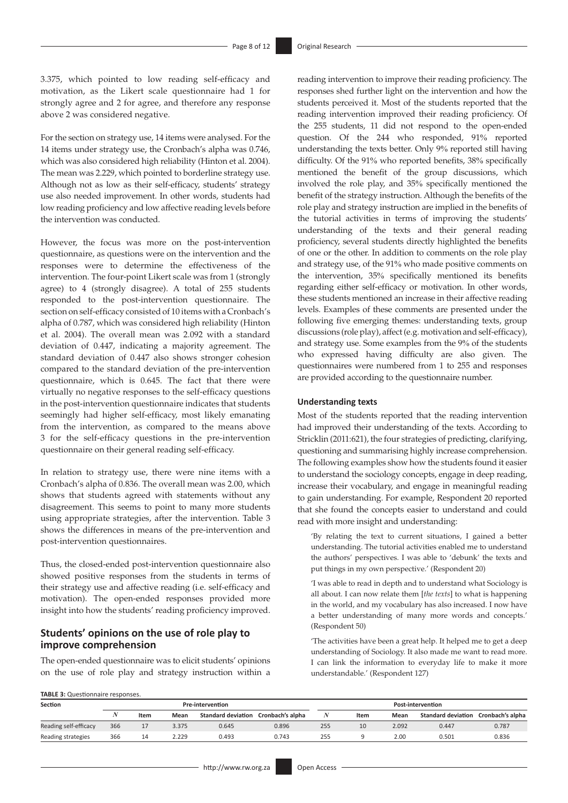3.375, which pointed to low reading self-efficacy and motivation, as the Likert scale questionnaire had 1 for strongly agree and 2 for agree, and therefore any response above 2 was considered negative.

For the section on strategy use, 14 items were analysed. For the 14 items under strategy use, the Cronbach's alpha was 0.746, which was also considered high reliability (Hinton et al. 2004). The mean was 2.229, which pointed to borderline strategy use. Although not as low as their self-efficacy, students' strategy use also needed improvement. In other words, students had low reading proficiency and low affective reading levels before the intervention was conducted.

However, the focus was more on the post-intervention questionnaire, as questions were on the intervention and the responses were to determine the effectiveness of the intervention. The four-point Likert scale was from 1 (strongly agree) to 4 (strongly disagree). A total of 255 students responded to the post-intervention questionnaire. The section on self-efficacy consisted of 10 items with a Cronbach's alpha of 0.787, which was considered high reliability (Hinton et al. 2004). The overall mean was 2.092 with a standard deviation of 0.447, indicating a majority agreement. The standard deviation of 0.447 also shows stronger cohesion compared to the standard deviation of the pre-intervention questionnaire, which is 0.645. The fact that there were virtually no negative responses to the self-efficacy questions in the post-intervention questionnaire indicates that students seemingly had higher self-efficacy, most likely emanating from the intervention, as compared to the means above 3 for the self-efficacy questions in the pre-intervention questionnaire on their general reading self-efficacy.

In relation to strategy use, there were nine items with a Cronbach's alpha of 0.836. The overall mean was 2.00, which shows that students agreed with statements without any disagreement. This seems to point to many more students using appropriate strategies, after the intervention. Table 3 shows the differences in means of the pre-intervention and post-intervention questionnaires.

Thus, the closed-ended post-intervention questionnaire also showed positive responses from the students in terms of their strategy use and affective reading (i.e. self-efficacy and motivation). The open-ended responses provided more insight into how the students' reading proficiency improved.

## **Students' opinions on the use of role play to improve comprehension**

The open-ended questionnaire was to elicit students' opinions on the use of role play and strategy instruction within a reading intervention to improve their reading proficiency. The responses shed further light on the intervention and how the students perceived it. Most of the students reported that the reading intervention improved their reading proficiency. Of the 255 students, 11 did not respond to the open-ended question. Of the 244 who responded, 91% reported understanding the texts better. Only 9% reported still having difficulty. Of the 91% who reported benefits, 38% specifically mentioned the benefit of the group discussions, which involved the role play, and 35% specifically mentioned the benefit of the strategy instruction. Although the benefits of the role play and strategy instruction are implied in the benefits of the tutorial activities in terms of improving the students' understanding of the texts and their general reading proficiency, several students directly highlighted the benefits of one or the other. In addition to comments on the role play and strategy use, of the 91% who made positive comments on the intervention, 35% specifically mentioned its benefits regarding either self-efficacy or motivation. In other words, these students mentioned an increase in their affective reading levels. Examples of these comments are presented under the following five emerging themes: understanding texts, group discussions (role play), affect (e.g. motivation and self-efficacy), and strategy use. Some examples from the 9% of the students who expressed having difficulty are also given. The questionnaires were numbered from 1 to 255 and responses are provided according to the questionnaire number.

#### **Understanding texts**

Most of the students reported that the reading intervention had improved their understanding of the texts. According to Stricklin (2011:621), the four strategies of predicting, clarifying, questioning and summarising highly increase comprehension. The following examples show how the students found it easier to understand the sociology concepts, engage in deep reading, increase their vocabulary, and engage in meaningful reading to gain understanding. For example, Respondent 20 reported that she found the concepts easier to understand and could read with more insight and understanding:

'By relating the text to current situations, I gained a better understanding. The tutorial activities enabled me to understand the authors' perspectives. I was able to 'debunk' the texts and put things in my own perspective.' (Respondent 20)

'I was able to read in depth and to understand what Sociology is all about. I can now relate them [*the texts*] to what is happening in the world, and my vocabulary has also increased. I now have a better understanding of many more words and concepts.' (Respondent 50)

'The activities have been a great help. It helped me to get a deep understanding of Sociology. It also made me want to read more. I can link the information to everyday life to make it more understandable.' (Respondent 127)

**TABLE 3:** Questionnaire responses.

| Section               | <b>Pre-intervention</b> |      |       |                                     |       |     | <b>Post-intervention</b> |       |                                     |       |  |  |
|-----------------------|-------------------------|------|-------|-------------------------------------|-------|-----|--------------------------|-------|-------------------------------------|-------|--|--|
|                       |                         | Item | Mean  | Standard deviation Cronbach's alpha |       |     | Item                     | Mean  | Standard deviation Cronbach's alpha |       |  |  |
| Reading self-efficacy | 366                     |      | 3.375 | 0.645                               | 0.896 | 255 | 10                       | 2.092 | 0.447                               | 0.787 |  |  |
| Reading strategies    | 366                     | 14   | 2.229 | 0.493                               | 0.743 | 255 |                          | 2.00  | 0.501                               | 0.836 |  |  |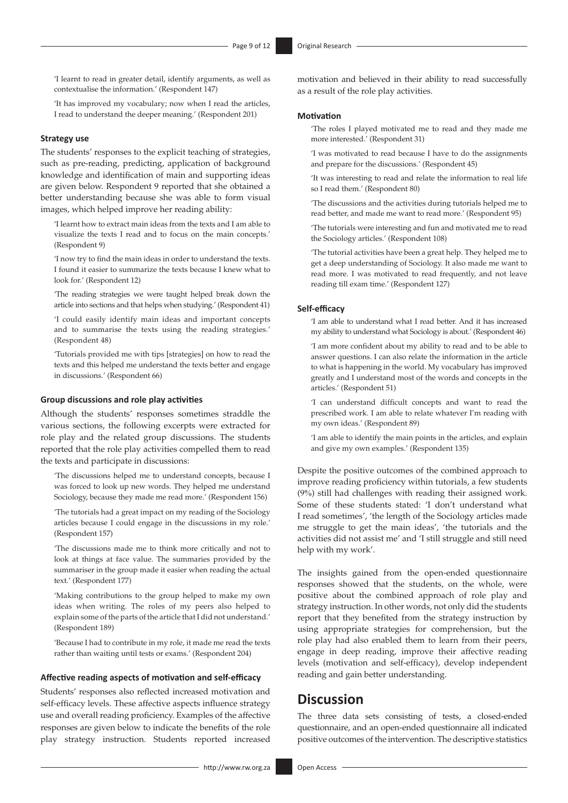'I learnt to read in greater detail, identify arguments, as well as contextualise the information.' (Respondent 147)

'It has improved my vocabulary; now when I read the articles, I read to understand the deeper meaning.' (Respondent 201)

#### **Strategy use**

The students' responses to the explicit teaching of strategies, such as pre-reading, predicting, application of background knowledge and identification of main and supporting ideas are given below. Respondent 9 reported that she obtained a better understanding because she was able to form visual images, which helped improve her reading ability:

'I learnt how to extract main ideas from the texts and I am able to visualize the texts I read and to focus on the main concepts.' (Respondent 9)

'I now try to find the main ideas in order to understand the texts. I found it easier to summarize the texts because I knew what to look for.' (Respondent 12)

'The reading strategies we were taught helped break down the article into sections and that helps when studying.' (Respondent 41)

'I could easily identify main ideas and important concepts and to summarise the texts using the reading strategies.' (Respondent 48)

'Tutorials provided me with tips [strategies] on how to read the texts and this helped me understand the texts better and engage in discussions.' (Respondent 66)

#### **Group discussions and role play activities**

Although the students' responses sometimes straddle the various sections, the following excerpts were extracted for role play and the related group discussions. The students reported that the role play activities compelled them to read the texts and participate in discussions:

'The discussions helped me to understand concepts, because I was forced to look up new words. They helped me understand Sociology, because they made me read more.' (Respondent 156)

'The tutorials had a great impact on my reading of the Sociology articles because I could engage in the discussions in my role.' (Respondent 157)

'The discussions made me to think more critically and not to look at things at face value. The summaries provided by the summariser in the group made it easier when reading the actual text.' (Respondent 177)

'Making contributions to the group helped to make my own ideas when writing. The roles of my peers also helped to explain some of the parts of the article that I did not understand.' (Respondent 189)

'Because I had to contribute in my role, it made me read the texts rather than waiting until tests or exams.' (Respondent 204)

#### **Affective reading aspects of motivation and self-efficacy**

Students' responses also reflected increased motivation and self-efficacy levels. These affective aspects influence strategy use and overall reading proficiency. Examples of the affective responses are given below to indicate the benefits of the role play strategy instruction. Students reported increased

motivation and believed in their ability to read successfully as a result of the role play activities.

#### **Motivation**

'The roles I played motivated me to read and they made me more interested.' (Respondent 31)

'I was motivated to read because I have to do the assignments and prepare for the discussions.' (Respondent 45)

'It was interesting to read and relate the information to real life so I read them.' (Respondent 80)

'The discussions and the activities during tutorials helped me to read better, and made me want to read more.' (Respondent 95)

'The tutorials were interesting and fun and motivated me to read the Sociology articles.' (Respondent 108)

'The tutorial activities have been a great help. They helped me to get a deep understanding of Sociology. It also made me want to read more. I was motivated to read frequently, and not leave reading till exam time.' (Respondent 127)

### **Self-efficacy**

'I am able to understand what I read better. And it has increased my ability to understand what Sociology is about.' (Respondent 46)

'I am more confident about my ability to read and to be able to answer questions. I can also relate the information in the article to what is happening in the world. My vocabulary has improved greatly and I understand most of the words and concepts in the articles.' (Respondent 51)

'I can understand difficult concepts and want to read the prescribed work. I am able to relate whatever I'm reading with my own ideas.' (Respondent 89)

'I am able to identify the main points in the articles, and explain and give my own examples.' (Respondent 135)

Despite the positive outcomes of the combined approach to improve reading proficiency within tutorials, a few students (9%) still had challenges with reading their assigned work. Some of these students stated: 'I don't understand what I read sometimes', 'the length of the Sociology articles made me struggle to get the main ideas', 'the tutorials and the activities did not assist me' and 'I still struggle and still need help with my work'.

The insights gained from the open-ended questionnaire responses showed that the students, on the whole, were positive about the combined approach of role play and strategy instruction. In other words, not only did the students report that they benefited from the strategy instruction by using appropriate strategies for comprehension, but the role play had also enabled them to learn from their peers, engage in deep reading, improve their affective reading levels (motivation and self-efficacy), develop independent reading and gain better understanding.

## **Discussion**

The three data sets consisting of tests, a closed-ended questionnaire, and an open-ended questionnaire all indicated positive outcomes of the intervention. The descriptive statistics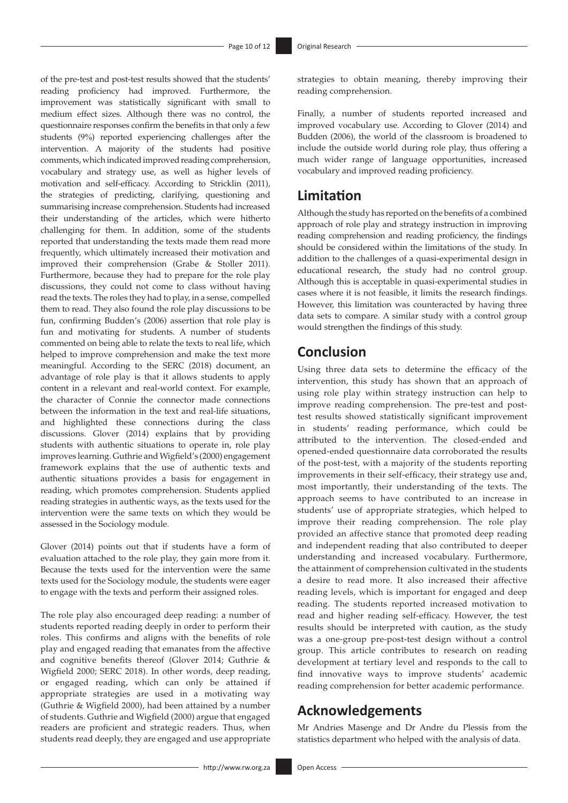of the pre-test and post-test results showed that the students' reading proficiency had improved. Furthermore, the improvement was statistically significant with small to medium effect sizes. Although there was no control, the questionnaire responses confirm the benefits in that only a few students (9%) reported experiencing challenges after the intervention. A majority of the students had positive comments, which indicated improved reading comprehension, vocabulary and strategy use, as well as higher levels of motivation and self-efficacy. According to Stricklin (2011), the strategies of predicting, clarifying, questioning and summarising increase comprehension. Students had increased their understanding of the articles, which were hitherto challenging for them. In addition, some of the students reported that understanding the texts made them read more frequently, which ultimately increased their motivation and improved their comprehension (Grabe & Stoller 2011). Furthermore, because they had to prepare for the role play discussions, they could not come to class without having read the texts. The roles they had to play, in a sense, compelled them to read. They also found the role play discussions to be fun, confirming Budden's (2006) assertion that role play is fun and motivating for students. A number of students commented on being able to relate the texts to real life, which helped to improve comprehension and make the text more meaningful. According to the SERC (2018) document, an advantage of role play is that it allows students to apply content in a relevant and real-world context. For example, the character of Connie the connector made connections between the information in the text and real-life situations, and highlighted these connections during the class discussions. Glover (2014) explains that by providing students with authentic situations to operate in, role play improves learning. Guthrie and Wigfield's (2000) engagement framework explains that the use of authentic texts and authentic situations provides a basis for engagement in reading, which promotes comprehension. Students applied reading strategies in authentic ways, as the texts used for the intervention were the same texts on which they would be assessed in the Sociology module.

Glover (2014) points out that if students have a form of evaluation attached to the role play, they gain more from it. Because the texts used for the intervention were the same texts used for the Sociology module, the students were eager to engage with the texts and perform their assigned roles.

The role play also encouraged deep reading: a number of students reported reading deeply in order to perform their roles. This confirms and aligns with the benefits of role play and engaged reading that emanates from the affective and cognitive benefits thereof (Glover 2014; Guthrie & Wigfield 2000; SERC 2018). In other words, deep reading, or engaged reading, which can only be attained if appropriate strategies are used in a motivating way (Guthrie & Wigfield 2000), had been attained by a number of students. Guthrie and Wigfield (2000) argue that engaged readers are proficient and strategic readers. Thus, when students read deeply, they are engaged and use appropriate

strategies to obtain meaning, thereby improving their reading comprehension.

Finally, a number of students reported increased and improved vocabulary use. According to Glover (2014) and Budden (2006), the world of the classroom is broadened to include the outside world during role play, thus offering a much wider range of language opportunities, increased vocabulary and improved reading proficiency.

## **Limitation**

Although the study has reported on the benefits of a combined approach of role play and strategy instruction in improving reading comprehension and reading proficiency, the findings should be considered within the limitations of the study. In addition to the challenges of a quasi-experimental design in educational research, the study had no control group. Although this is acceptable in quasi-experimental studies in cases where it is not feasible, it limits the research findings. However, this limitation was counteracted by having three data sets to compare. A similar study with a control group would strengthen the findings of this study.

## **Conclusion**

Using three data sets to determine the efficacy of the intervention, this study has shown that an approach of using role play within strategy instruction can help to improve reading comprehension. The pre-test and posttest results showed statistically significant improvement in students' reading performance, which could be attributed to the intervention. The closed-ended and opened-ended questionnaire data corroborated the results of the post-test, with a majority of the students reporting improvements in their self-efficacy, their strategy use and, most importantly, their understanding of the texts. The approach seems to have contributed to an increase in students' use of appropriate strategies, which helped to improve their reading comprehension. The role play provided an affective stance that promoted deep reading and independent reading that also contributed to deeper understanding and increased vocabulary. Furthermore, the attainment of comprehension cultivated in the students a desire to read more. It also increased their affective reading levels, which is important for engaged and deep reading. The students reported increased motivation to read and higher reading self-efficacy. However, the test results should be interpreted with caution, as the study was a one-group pre-post-test design without a control group. This article contributes to research on reading development at tertiary level and responds to the call to find innovative ways to improve students' academic reading comprehension for better academic performance.

## **Acknowledgements**

Mr Andries Masenge and Dr Andre du Plessis from the statistics department who helped with the analysis of data.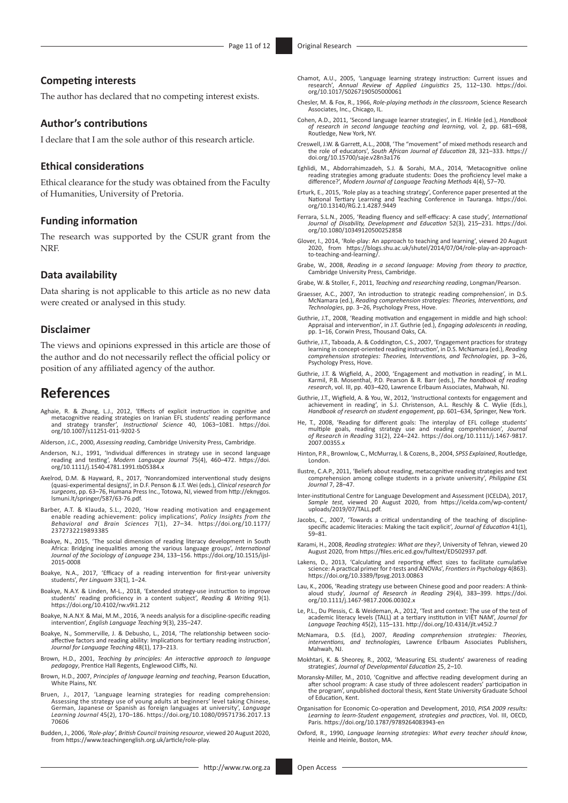### **Competing interests**

The author has declared that no competing interest exists.

### **Author's contributions**

I declare that I am the sole author of this research article.

#### **Ethical considerations**

Ethical clearance for the study was obtained from the Faculty of Humanities, University of Pretoria.

#### **Funding information**

The research was supported by the CSUR grant from the **NRF** 

### **Data availability**

Data sharing is not applicable to this article as no new data were created or analysed in this study.

## **Disclaimer**

The views and opinions expressed in this article are those of the author and do not necessarily reflect the official policy or position of any affiliated agency of the author.

## **References**

- Aghaie, R. & Zhang, L.J., 2012, 'Effects of explicit instruction in cognitive and metacognitive reading strategies on Iranian EFL students' reading performance and strategy transfer', *Instructional Science* 40, 1063–1081. [https://doi.](https://doi.org/10.1007/s11251-011-9202-5) [org/10.1007/s11251-011-9202-5](https://doi.org/10.1007/s11251-011-9202-5)
- Alderson, J.C., 2000, *Assessing reading*, Cambridge University Press, Cambridge.
- Anderson, N.J., 1991, 'Individual differences in strategy use in second language reading and testing', *Modern Language Journal* 75(4), 460–472. [https://doi.](https://doi.org/10.1111/j.1540-4781.1991.tb05384.x) [org/10.1111/j.1540-4781.1991.tb05384.x](https://doi.org/10.1111/j.1540-4781.1991.tb05384.x)
- Axelrod, D.M. & Hayward, R., 2017, 'Nonrandomized interventional study designs (quasi-experimental designs)', in D.F. Penson & J.T. Wei (eds.), *Clinical research for surgeons*, pp. 63–76, Humana Press Inc., Totowa, NJ, viewed from [http://eknygos.](http://eknygos.lsmuni.lt/springer/587/63-76.pdf) [lsmuni.lt/springer/587/63-76.pdf.](http://eknygos.lsmuni.lt/springer/587/63-76.pdf)
- Barber, A.T. & Klauda, S.L., 2020, 'How reading motivation and engagement enable reading achievement: policy implications', *Policy Insights from the Behavioral and Brain Sciences* 7(1), 27–34. [https://doi.org/10.1177/](https://doi.org/10.1177/2372732219893385) [2372732219893385](https://doi.org/10.1177/2372732219893385)
- Boakye, N., 2015, 'The social dimension of reading literacy development in South Africa: Bridging inequalities among the various language groups', *International Journal of the Sociology of Language* 234, 133–156. [https://doi.org/10.1515/ijsl-](https://doi.org/10.1515/ijsl-2015-0008)[2015-0008](https://doi.org/10.1515/ijsl-2015-0008)
- Boakye, N.A., 2017, 'Efficacy of a reading intervention for first-year university students', *Per Linguam* 33(1), 1–24.
- Boakye, N.A.Y. & Linden, M-L., 2018, 'Extended strategy-use instruction to impro students' reading proficiency in a content subject', *Reading & Writing* 9(1). <https://doi.org/10.4102/rw.v9i1.212>
- Boakye, N.A.N.Y. & Mai, M.M., 2016, 'A needs analysis for a discipline-specific reading intervention', *English Language Teaching* 9(3), 235–247.
- Boakye, N., Sommerville, J. & Debusho, L., 2014, 'The relationship between socioaffective factors and reading ability: Implications for tertiary reading instruction', *Journal for Language Teaching* 48(1), 173–213.
- Brown, H.D., 2001, *Teaching by principles: An interactive approach to language pedagogy*, Prentice Hall Regents, Englewood Cliffs, NJ.
- Brown, H.D., 2007, *Principles of language learning and teaching*, Pearson Education, White Plains, NY.
- Bruen, J., 2017, 'Language learning strategies for reading comprehension: Assessing the strategy use of young adults at beginners' level taking Chinese, German, Japanese or Spanish as foreign languages at university', *Language Learning Journal* 45(2), 170–186. [https://doi.org/10.1080/09571736.2017.13](https://doi.org/10.1080/09571736.2017.1370606) [70606](https://doi.org/10.1080/09571736.2017.1370606)
- Budden, J., 2006, *'Role-play', British Council training resource*, viewed 20 August 2020, from [https://www.teachingenglish.org.uk/article/role-play.](https://www.teachingenglish.org.uk/article/role-play)
- Chamot, A.U., 2005, 'Language learning strategy instruction: Current issues and research', *Annual Review of Applied Linguistics* 25, 112–130. [https://doi.](https://doi.org/10.1017/S0267190505000061) [org/10.1017/S0267190505000061](https://doi.org/10.1017/S0267190505000061)
- Chesler, M. & Fox, R., 1966, *Role-playing methods in the classroom*, Science Research Associates, Inc., Chicago, IL.
- Cohen, A.D., 2011, 'Second language learner strategies', in E. Hinkle (ed.), *Handbook of research in second language teaching and learning*, vol. 2, pp. 681–698, Routledge, New York, NY.
- Creswell, J.W. & Garrett, A.L., 2008, 'The "movement" of mixed methods research and the role of educators', *South African Journal of Education* 28, 321–333. [https://](https://doi.org/10.15700/saje.v28n3a176) [doi.org/10.15700/saje.v28n3a176](https://doi.org/10.15700/saje.v28n3a176)
- Eghlidi, M., Abdorrahimzadeh, S.J. & Sorahi, M.A., 2014, 'Metacognitive online reading strategies among graduate students: Does the proficiency level make a difference?', *Modern Journal of Language Teaching Methods* 4(4), 57–70.
- Erturk, E., 2015, 'Role play as a teaching strategy', Conference paper presented at the National Tertiary Learning and Teaching Conference in Tauranga. [https://doi.](https://doi.org/10.13140/RG.2.1.4287.9449) [org/10.13140/RG.2.1.4287.9449](https://doi.org/10.13140/RG.2.1.4287.9449)
- Ferrara, S.L.N., 2005, 'Reading fluency and self-efficacy: A case study', *International Journal of Disability, Development and Education* 52(3), 215–231. [https://doi.](https://doi.org/10.1080/10349120500252858) [org/10.1080/10349120500252858](https://doi.org/10.1080/10349120500252858)
- Glover, I., 2014, 'Role-play: An approach to teaching and learning', viewed 20 August 2020, from [https://blogs.shu.ac.uk/shutel/2014/07/04/role-play-an-approach-](https://blogs.shu.ac.uk/shutel/2014/07/04/role-play-an-approach-to-teaching-and-learning/)[to-teaching-and-learning/.](https://blogs.shu.ac.uk/shutel/2014/07/04/role-play-an-approach-to-teaching-and-learning/)
- Grabe, W., 2008, *Reading in a second language: Moving from theory to practice*, Cambridge University Press, Cambridge.
- Grabe, W. & Stoller, F., 2011, *Teaching and researching reading*, Longman/Pearson.
- Graesser, A.C., 2007, 'An introduction to strategic reading comprehension', in D.S. McNamara (ed.), *Reading comprehension strategies: Theories, Interventions, and Technologies*, pp. 3–26, Psychology Press, Hove.
- Guthrie, J.T., 2008, 'Reading motivation and engagement in middle and high school: Appraisal and intervention', in J.T. Guthrie (ed.), *Engaging adolescents in reading*, pp. 1–16, Corwin Press, Thousand Oaks, CA.
- Guthrie, J.T., Taboada, A. & Coddington, C.S., 2007, 'Engagement practices for strategy learning in concept-oriented reading instruction', in D.S. McNamara (ed.), *Reading comprehension strategies: Theories, Interventions, and Technologies*, pp. 3–26, Psychology Press, Hove.
- Guthrie, J.T. & Wigfield, A., 2000, 'Engagement and motivation in reading', in M.L. Karmil, P.B. Mosenthal, P.D. Pearson & R. Barr (eds.), *The handbook of reading research*, vol. III, pp. 403–420, Lawrence Erlbaum Associates, Mahwah, NJ.
- Guthrie, J.T., Wigfield, A. & You, W., 2012, 'Instructional contexts for engagement and achievement in reading', in S.J. Christenson, A.L. Reschly & C. Wylie (Eds.), *Handbook of research on student engagement*, pp. 601–634, Springer, New York.
- He, T., 2008, 'Reading for different goals: The interplay of EFL college students' multiple goals, reading strategy use and reading comprehension', *Journal of Research in Reading* 31(2), 224–242. [https://doi.org/10.1111/j.1467-9817.](https://doi.org/10.1111/j.1467-9817.2007.00355.x) [2007.00355.x](https://doi.org/10.1111/j.1467-9817.2007.00355.x)
- Hinton, P.R., Brownlow, C., McMurray, I. & Cozens, B., 2004, *SPSS Explained*, Routledge, London.
- Ilustre, C.A.P., 2011, 'Beliefs about reading, metacognitive reading strategies and text comprehension among college students in a private university', *Philippine ESL Journal* 7, 28–47.
- Inter-institutional Centre for Language Development and Assessment (ICELDA), 2017, *Sample test*, viewed 20 August 2020, from [https://icelda.com/wp-content/](https://icelda.com/wp-content/uploads/2019/07/TALL.pdf) [uploads/2019/07/TALL.pdf.](https://icelda.com/wp-content/uploads/2019/07/TALL.pdf)
- Jacobs, C., 2007, 'Towards a critical understanding of the teaching of discipline-specific academic literacies: Making the tacit explicit', *Journal of Education* 41(1), 59–81.
- Karami, H., 2008, *Reading strategies: What are they?*, University of Tehran, viewed 20 August 2020, from [https://files.eric.ed.gov/fulltext/ED502937.pdf.](https://files.eric.ed.gov/fulltext/ED502937.pdf)
- Lakens, D., 2013, 'Calculating and reporting effect sizes to facilitate cumulative science: A practical primer for *t*-tests and ANOVAs', *Frontiers in Psychology* 4(863). <https://doi.org/10.3389/fpsyg.2013.00863>
- Lau, K., 2006, 'Reading strategy use between Chinese good and poor readers: A thinkaloud study', *Journal of Research in Reading* 29(4), 383–399. [https://doi.](https://doi.org/10.1111/j.1467-9817.2006.00302.x) [org/10.1111/j.1467-9817.2006.00302.x](https://doi.org/10.1111/j.1467-9817.2006.00302.x)
- Le, P.L., Du Plessis, C. & Weideman, A., 2012, 'Test and context: The use of the test of academic literacy levels (TALL) at a tertiary institution in VIÊT NAM', *Journal for Language Teaching* 45(2), 115–131. <http://doi.org/10.4314/jlt.v45i2.7>
- McNamara, D.S. (Ed.), 2007, *Reading comprehension strategies: Theories, interventions, and technologies,* Lawrence Erlbaum Associates Publishers, Mahwah, NJ.
- Mokhtari, K. & Sheorey, R., 2002, 'Measuring ESL students' awareness of reading strategies', *Journal of Developmental Education* 25, 2–10.
- Moransky-Miller, M., 2010, 'Cognitive and affective reading development during an after school program: A case study of three adolescent readers' participation in the program', unpublished doctoral thesis, Kent State University Graduate School of Education, Kent.
- Organisation for Economic Co-operation and Development, 2010, *PISA 2009 results: Learning to learn-Student engagement, strategies and practices*, Vol. III, OECD, Paris. <https://doi.org/10.1787/9789264083943-en>
- Oxford, R., 1990, *Language learning strategies: What every teacher should know*, Heinle and Heinle, Boston, MA.